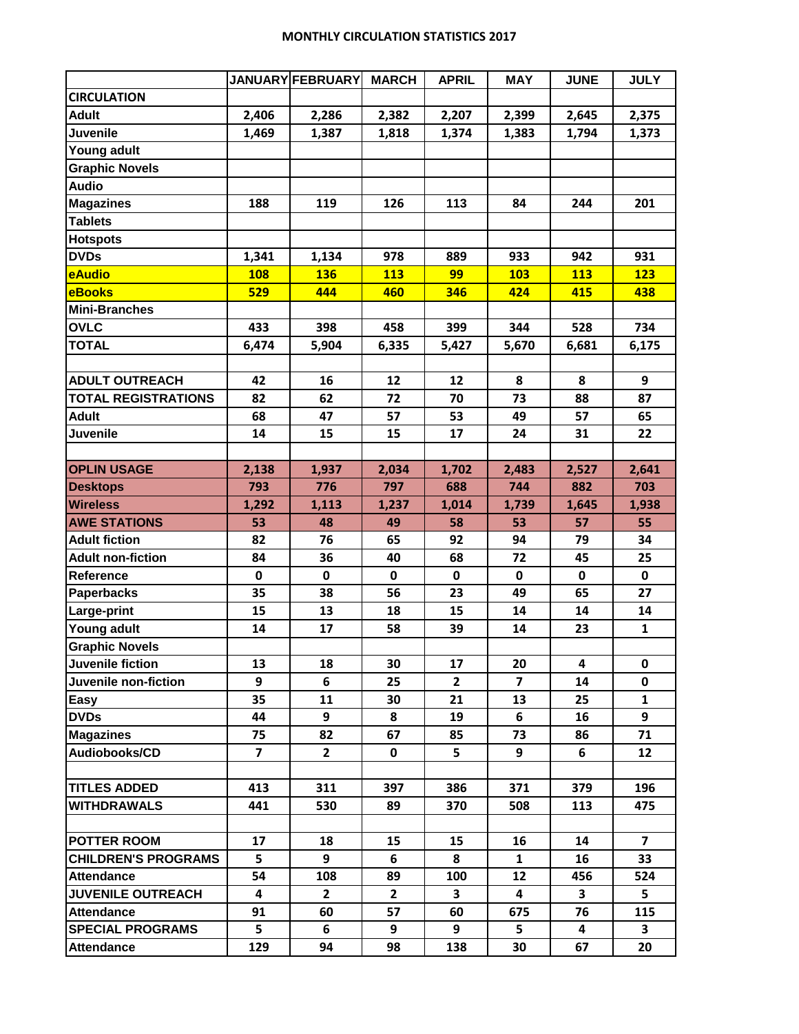## **MONTHLY CIRCULATION STATISTICS 2017**

| <b>CIRCULATION</b><br><b>Adult</b><br>2,406<br>2,286<br>2,382<br>2,207<br>2,399<br>2,645<br>2,375<br><b>Juvenile</b><br>1,469<br>1,387<br>1,818<br>1,374<br>1,794<br>1,373<br>1,383<br><b>Young adult</b><br><b>Graphic Novels</b><br><b>Audio</b><br><b>Magazines</b><br>188<br>119<br>126<br>113<br>84<br>244<br>201<br><b>Tablets</b><br><b>Hotspots</b><br><b>DVDs</b><br>978<br>889<br>933<br>942<br>931<br>1,341<br>1,134<br>eAudio<br>99<br><b>108</b><br><b>136</b><br>113<br>103<br>113<br>123<br><b>eBooks</b><br>346<br>529<br>444<br>460<br>415<br>438<br>424<br><b>Mini-Branches</b><br><b>OVLC</b><br>433<br>398<br>458<br>399<br>344<br>528<br>734<br><b>TOTAL</b><br>6,474<br>5,904<br>6,335<br>5,427<br>5,670<br>6,681<br>6,175<br><b>ADULT OUTREACH</b><br>42<br>12<br>12<br>8<br>16<br>8<br>9<br>73<br><b>TOTAL REGISTRATIONS</b><br>82<br>62<br>72<br>70<br>88<br>87<br><b>Adult</b><br>68<br>47<br>57<br>53<br>49<br>57<br>65<br>Juvenile<br>14<br>15<br>15<br>17<br>24<br>31<br>22<br><b>OPLIN USAGE</b><br>2,034<br>2,641<br>2,138<br>1,937<br>1,702<br>2,483<br>2,527<br>793<br>776<br><b>Desktops</b><br>797<br>688<br>744<br>882<br>703<br>1,292<br>1,113<br>1,237<br>1,014<br>1,739<br>1,645<br>1,938<br><b>AWE STATIONS</b><br>53<br>48<br>49<br>58<br>53<br>57<br>55<br><b>Adult fiction</b><br>82<br>76<br>92<br>65<br>94<br>79<br>34<br><b>Adult non-fiction</b><br>36<br>40<br>68<br>72<br>45<br>84<br>25<br>$\mathbf 0$<br>$\mathbf 0$<br>$\mathbf 0$<br>$\mathbf 0$<br>$\mathbf 0$<br>$\mathbf 0$<br>$\mathbf 0$<br>35<br>38<br>56<br>23<br>65<br>27<br><b>Paperbacks</b><br>49<br>15<br>13<br>18<br>15<br>14<br>14<br>14<br><b>Young adult</b><br>14<br>17<br>58<br>39<br>14<br>23<br>$\mathbf{1}$<br><b>Graphic Novels</b><br>Juvenile fiction<br>13<br>18<br>30<br>17<br>20<br>4<br>0<br>Juvenile non-fiction<br>6<br>$\overline{2}$<br>$\overline{\mathbf{z}}$<br>9<br>25<br>14<br>0<br>35<br>11<br>30<br>21<br>13<br>25<br>$\mathbf{1}$<br>Easy<br>6<br>9<br>9<br><b>DVDs</b><br>44<br>8<br>19<br>16<br><b>Magazines</b><br>75<br>82<br>67<br>85<br>73<br>86<br>71<br>$\overline{\mathbf{z}}$<br>5<br>Audiobooks/CD<br>$\overline{2}$<br>$\mathbf 0$<br>9<br>6<br>12<br><b>TITLES ADDED</b><br>413<br>311<br>397<br>386<br>371<br>379<br>196<br><b>WITHDRAWALS</b><br>89<br>370<br>113<br>441<br>530<br>508<br>475<br>17<br>15<br>18<br>15<br>16<br>14<br>$\overline{7}$<br>5<br>9<br>8<br><b>CHILDREN'S PROGRAMS</b><br>6<br>$\mathbf{1}$<br>16<br>33<br><b>Attendance</b><br>54<br>108<br>89<br>100<br>12<br>456<br>524<br>$2^{\circ}$<br>$\mathbf{2}$<br>$\overline{\mathbf{3}}$<br>$\overline{\mathbf{4}}$<br>$\overline{\mathbf{3}}$<br><b>JUVENILE OUTREACH</b><br>4<br>5<br>91<br><b>Attendance</b><br>60<br>57<br>60<br>675<br>76<br>115<br>5<br><b>SPECIAL PROGRAMS</b><br>6<br>9<br>9<br>5<br>3<br>$\overline{\mathbf{4}}$<br><b>Attendance</b> |                    |     | <b>JANUARY FEBRUARY</b> | <b>MARCH</b> | <b>APRIL</b> | <b>MAY</b> | <b>JUNE</b> | <b>JULY</b> |
|--------------------------------------------------------------------------------------------------------------------------------------------------------------------------------------------------------------------------------------------------------------------------------------------------------------------------------------------------------------------------------------------------------------------------------------------------------------------------------------------------------------------------------------------------------------------------------------------------------------------------------------------------------------------------------------------------------------------------------------------------------------------------------------------------------------------------------------------------------------------------------------------------------------------------------------------------------------------------------------------------------------------------------------------------------------------------------------------------------------------------------------------------------------------------------------------------------------------------------------------------------------------------------------------------------------------------------------------------------------------------------------------------------------------------------------------------------------------------------------------------------------------------------------------------------------------------------------------------------------------------------------------------------------------------------------------------------------------------------------------------------------------------------------------------------------------------------------------------------------------------------------------------------------------------------------------------------------------------------------------------------------------------------------------------------------------------------------------------------------------------------------------------------------------------------------------------------------------------------------------------------------------------------------------------------------------------------------------------------------------------------------------------------------------------------------------------------------------------------------------------------------------------------------------------------------------------------------------------------------------------------------------------------------------------------------------------------------------------------------------------------------------------------------------------------------------------------------------------------------------------------------------------|--------------------|-----|-------------------------|--------------|--------------|------------|-------------|-------------|
|                                                                                                                                                                                                                                                                                                                                                                                                                                                                                                                                                                                                                                                                                                                                                                                                                                                                                                                                                                                                                                                                                                                                                                                                                                                                                                                                                                                                                                                                                                                                                                                                                                                                                                                                                                                                                                                                                                                                                                                                                                                                                                                                                                                                                                                                                                                                                                                                                                                                                                                                                                                                                                                                                                                                                                                                                                                                                                  |                    |     |                         |              |              |            |             |             |
|                                                                                                                                                                                                                                                                                                                                                                                                                                                                                                                                                                                                                                                                                                                                                                                                                                                                                                                                                                                                                                                                                                                                                                                                                                                                                                                                                                                                                                                                                                                                                                                                                                                                                                                                                                                                                                                                                                                                                                                                                                                                                                                                                                                                                                                                                                                                                                                                                                                                                                                                                                                                                                                                                                                                                                                                                                                                                                  |                    |     |                         |              |              |            |             |             |
|                                                                                                                                                                                                                                                                                                                                                                                                                                                                                                                                                                                                                                                                                                                                                                                                                                                                                                                                                                                                                                                                                                                                                                                                                                                                                                                                                                                                                                                                                                                                                                                                                                                                                                                                                                                                                                                                                                                                                                                                                                                                                                                                                                                                                                                                                                                                                                                                                                                                                                                                                                                                                                                                                                                                                                                                                                                                                                  |                    |     |                         |              |              |            |             |             |
|                                                                                                                                                                                                                                                                                                                                                                                                                                                                                                                                                                                                                                                                                                                                                                                                                                                                                                                                                                                                                                                                                                                                                                                                                                                                                                                                                                                                                                                                                                                                                                                                                                                                                                                                                                                                                                                                                                                                                                                                                                                                                                                                                                                                                                                                                                                                                                                                                                                                                                                                                                                                                                                                                                                                                                                                                                                                                                  |                    |     |                         |              |              |            |             |             |
|                                                                                                                                                                                                                                                                                                                                                                                                                                                                                                                                                                                                                                                                                                                                                                                                                                                                                                                                                                                                                                                                                                                                                                                                                                                                                                                                                                                                                                                                                                                                                                                                                                                                                                                                                                                                                                                                                                                                                                                                                                                                                                                                                                                                                                                                                                                                                                                                                                                                                                                                                                                                                                                                                                                                                                                                                                                                                                  |                    |     |                         |              |              |            |             |             |
|                                                                                                                                                                                                                                                                                                                                                                                                                                                                                                                                                                                                                                                                                                                                                                                                                                                                                                                                                                                                                                                                                                                                                                                                                                                                                                                                                                                                                                                                                                                                                                                                                                                                                                                                                                                                                                                                                                                                                                                                                                                                                                                                                                                                                                                                                                                                                                                                                                                                                                                                                                                                                                                                                                                                                                                                                                                                                                  |                    |     |                         |              |              |            |             |             |
|                                                                                                                                                                                                                                                                                                                                                                                                                                                                                                                                                                                                                                                                                                                                                                                                                                                                                                                                                                                                                                                                                                                                                                                                                                                                                                                                                                                                                                                                                                                                                                                                                                                                                                                                                                                                                                                                                                                                                                                                                                                                                                                                                                                                                                                                                                                                                                                                                                                                                                                                                                                                                                                                                                                                                                                                                                                                                                  |                    |     |                         |              |              |            |             |             |
|                                                                                                                                                                                                                                                                                                                                                                                                                                                                                                                                                                                                                                                                                                                                                                                                                                                                                                                                                                                                                                                                                                                                                                                                                                                                                                                                                                                                                                                                                                                                                                                                                                                                                                                                                                                                                                                                                                                                                                                                                                                                                                                                                                                                                                                                                                                                                                                                                                                                                                                                                                                                                                                                                                                                                                                                                                                                                                  |                    |     |                         |              |              |            |             |             |
|                                                                                                                                                                                                                                                                                                                                                                                                                                                                                                                                                                                                                                                                                                                                                                                                                                                                                                                                                                                                                                                                                                                                                                                                                                                                                                                                                                                                                                                                                                                                                                                                                                                                                                                                                                                                                                                                                                                                                                                                                                                                                                                                                                                                                                                                                                                                                                                                                                                                                                                                                                                                                                                                                                                                                                                                                                                                                                  |                    |     |                         |              |              |            |             |             |
|                                                                                                                                                                                                                                                                                                                                                                                                                                                                                                                                                                                                                                                                                                                                                                                                                                                                                                                                                                                                                                                                                                                                                                                                                                                                                                                                                                                                                                                                                                                                                                                                                                                                                                                                                                                                                                                                                                                                                                                                                                                                                                                                                                                                                                                                                                                                                                                                                                                                                                                                                                                                                                                                                                                                                                                                                                                                                                  |                    |     |                         |              |              |            |             |             |
|                                                                                                                                                                                                                                                                                                                                                                                                                                                                                                                                                                                                                                                                                                                                                                                                                                                                                                                                                                                                                                                                                                                                                                                                                                                                                                                                                                                                                                                                                                                                                                                                                                                                                                                                                                                                                                                                                                                                                                                                                                                                                                                                                                                                                                                                                                                                                                                                                                                                                                                                                                                                                                                                                                                                                                                                                                                                                                  |                    |     |                         |              |              |            |             |             |
|                                                                                                                                                                                                                                                                                                                                                                                                                                                                                                                                                                                                                                                                                                                                                                                                                                                                                                                                                                                                                                                                                                                                                                                                                                                                                                                                                                                                                                                                                                                                                                                                                                                                                                                                                                                                                                                                                                                                                                                                                                                                                                                                                                                                                                                                                                                                                                                                                                                                                                                                                                                                                                                                                                                                                                                                                                                                                                  |                    |     |                         |              |              |            |             |             |
|                                                                                                                                                                                                                                                                                                                                                                                                                                                                                                                                                                                                                                                                                                                                                                                                                                                                                                                                                                                                                                                                                                                                                                                                                                                                                                                                                                                                                                                                                                                                                                                                                                                                                                                                                                                                                                                                                                                                                                                                                                                                                                                                                                                                                                                                                                                                                                                                                                                                                                                                                                                                                                                                                                                                                                                                                                                                                                  |                    |     |                         |              |              |            |             |             |
|                                                                                                                                                                                                                                                                                                                                                                                                                                                                                                                                                                                                                                                                                                                                                                                                                                                                                                                                                                                                                                                                                                                                                                                                                                                                                                                                                                                                                                                                                                                                                                                                                                                                                                                                                                                                                                                                                                                                                                                                                                                                                                                                                                                                                                                                                                                                                                                                                                                                                                                                                                                                                                                                                                                                                                                                                                                                                                  |                    |     |                         |              |              |            |             |             |
|                                                                                                                                                                                                                                                                                                                                                                                                                                                                                                                                                                                                                                                                                                                                                                                                                                                                                                                                                                                                                                                                                                                                                                                                                                                                                                                                                                                                                                                                                                                                                                                                                                                                                                                                                                                                                                                                                                                                                                                                                                                                                                                                                                                                                                                                                                                                                                                                                                                                                                                                                                                                                                                                                                                                                                                                                                                                                                  |                    |     |                         |              |              |            |             |             |
|                                                                                                                                                                                                                                                                                                                                                                                                                                                                                                                                                                                                                                                                                                                                                                                                                                                                                                                                                                                                                                                                                                                                                                                                                                                                                                                                                                                                                                                                                                                                                                                                                                                                                                                                                                                                                                                                                                                                                                                                                                                                                                                                                                                                                                                                                                                                                                                                                                                                                                                                                                                                                                                                                                                                                                                                                                                                                                  |                    |     |                         |              |              |            |             |             |
|                                                                                                                                                                                                                                                                                                                                                                                                                                                                                                                                                                                                                                                                                                                                                                                                                                                                                                                                                                                                                                                                                                                                                                                                                                                                                                                                                                                                                                                                                                                                                                                                                                                                                                                                                                                                                                                                                                                                                                                                                                                                                                                                                                                                                                                                                                                                                                                                                                                                                                                                                                                                                                                                                                                                                                                                                                                                                                  |                    |     |                         |              |              |            |             |             |
|                                                                                                                                                                                                                                                                                                                                                                                                                                                                                                                                                                                                                                                                                                                                                                                                                                                                                                                                                                                                                                                                                                                                                                                                                                                                                                                                                                                                                                                                                                                                                                                                                                                                                                                                                                                                                                                                                                                                                                                                                                                                                                                                                                                                                                                                                                                                                                                                                                                                                                                                                                                                                                                                                                                                                                                                                                                                                                  |                    |     |                         |              |              |            |             |             |
|                                                                                                                                                                                                                                                                                                                                                                                                                                                                                                                                                                                                                                                                                                                                                                                                                                                                                                                                                                                                                                                                                                                                                                                                                                                                                                                                                                                                                                                                                                                                                                                                                                                                                                                                                                                                                                                                                                                                                                                                                                                                                                                                                                                                                                                                                                                                                                                                                                                                                                                                                                                                                                                                                                                                                                                                                                                                                                  |                    |     |                         |              |              |            |             |             |
|                                                                                                                                                                                                                                                                                                                                                                                                                                                                                                                                                                                                                                                                                                                                                                                                                                                                                                                                                                                                                                                                                                                                                                                                                                                                                                                                                                                                                                                                                                                                                                                                                                                                                                                                                                                                                                                                                                                                                                                                                                                                                                                                                                                                                                                                                                                                                                                                                                                                                                                                                                                                                                                                                                                                                                                                                                                                                                  |                    |     |                         |              |              |            |             |             |
|                                                                                                                                                                                                                                                                                                                                                                                                                                                                                                                                                                                                                                                                                                                                                                                                                                                                                                                                                                                                                                                                                                                                                                                                                                                                                                                                                                                                                                                                                                                                                                                                                                                                                                                                                                                                                                                                                                                                                                                                                                                                                                                                                                                                                                                                                                                                                                                                                                                                                                                                                                                                                                                                                                                                                                                                                                                                                                  |                    |     |                         |              |              |            |             |             |
|                                                                                                                                                                                                                                                                                                                                                                                                                                                                                                                                                                                                                                                                                                                                                                                                                                                                                                                                                                                                                                                                                                                                                                                                                                                                                                                                                                                                                                                                                                                                                                                                                                                                                                                                                                                                                                                                                                                                                                                                                                                                                                                                                                                                                                                                                                                                                                                                                                                                                                                                                                                                                                                                                                                                                                                                                                                                                                  |                    |     |                         |              |              |            |             |             |
|                                                                                                                                                                                                                                                                                                                                                                                                                                                                                                                                                                                                                                                                                                                                                                                                                                                                                                                                                                                                                                                                                                                                                                                                                                                                                                                                                                                                                                                                                                                                                                                                                                                                                                                                                                                                                                                                                                                                                                                                                                                                                                                                                                                                                                                                                                                                                                                                                                                                                                                                                                                                                                                                                                                                                                                                                                                                                                  |                    |     |                         |              |              |            |             |             |
|                                                                                                                                                                                                                                                                                                                                                                                                                                                                                                                                                                                                                                                                                                                                                                                                                                                                                                                                                                                                                                                                                                                                                                                                                                                                                                                                                                                                                                                                                                                                                                                                                                                                                                                                                                                                                                                                                                                                                                                                                                                                                                                                                                                                                                                                                                                                                                                                                                                                                                                                                                                                                                                                                                                                                                                                                                                                                                  | <b>Wireless</b>    |     |                         |              |              |            |             |             |
|                                                                                                                                                                                                                                                                                                                                                                                                                                                                                                                                                                                                                                                                                                                                                                                                                                                                                                                                                                                                                                                                                                                                                                                                                                                                                                                                                                                                                                                                                                                                                                                                                                                                                                                                                                                                                                                                                                                                                                                                                                                                                                                                                                                                                                                                                                                                                                                                                                                                                                                                                                                                                                                                                                                                                                                                                                                                                                  |                    |     |                         |              |              |            |             |             |
|                                                                                                                                                                                                                                                                                                                                                                                                                                                                                                                                                                                                                                                                                                                                                                                                                                                                                                                                                                                                                                                                                                                                                                                                                                                                                                                                                                                                                                                                                                                                                                                                                                                                                                                                                                                                                                                                                                                                                                                                                                                                                                                                                                                                                                                                                                                                                                                                                                                                                                                                                                                                                                                                                                                                                                                                                                                                                                  |                    |     |                         |              |              |            |             |             |
|                                                                                                                                                                                                                                                                                                                                                                                                                                                                                                                                                                                                                                                                                                                                                                                                                                                                                                                                                                                                                                                                                                                                                                                                                                                                                                                                                                                                                                                                                                                                                                                                                                                                                                                                                                                                                                                                                                                                                                                                                                                                                                                                                                                                                                                                                                                                                                                                                                                                                                                                                                                                                                                                                                                                                                                                                                                                                                  |                    |     |                         |              |              |            |             |             |
|                                                                                                                                                                                                                                                                                                                                                                                                                                                                                                                                                                                                                                                                                                                                                                                                                                                                                                                                                                                                                                                                                                                                                                                                                                                                                                                                                                                                                                                                                                                                                                                                                                                                                                                                                                                                                                                                                                                                                                                                                                                                                                                                                                                                                                                                                                                                                                                                                                                                                                                                                                                                                                                                                                                                                                                                                                                                                                  | Reference          |     |                         |              |              |            |             |             |
|                                                                                                                                                                                                                                                                                                                                                                                                                                                                                                                                                                                                                                                                                                                                                                                                                                                                                                                                                                                                                                                                                                                                                                                                                                                                                                                                                                                                                                                                                                                                                                                                                                                                                                                                                                                                                                                                                                                                                                                                                                                                                                                                                                                                                                                                                                                                                                                                                                                                                                                                                                                                                                                                                                                                                                                                                                                                                                  |                    |     |                         |              |              |            |             |             |
|                                                                                                                                                                                                                                                                                                                                                                                                                                                                                                                                                                                                                                                                                                                                                                                                                                                                                                                                                                                                                                                                                                                                                                                                                                                                                                                                                                                                                                                                                                                                                                                                                                                                                                                                                                                                                                                                                                                                                                                                                                                                                                                                                                                                                                                                                                                                                                                                                                                                                                                                                                                                                                                                                                                                                                                                                                                                                                  | Large-print        |     |                         |              |              |            |             |             |
|                                                                                                                                                                                                                                                                                                                                                                                                                                                                                                                                                                                                                                                                                                                                                                                                                                                                                                                                                                                                                                                                                                                                                                                                                                                                                                                                                                                                                                                                                                                                                                                                                                                                                                                                                                                                                                                                                                                                                                                                                                                                                                                                                                                                                                                                                                                                                                                                                                                                                                                                                                                                                                                                                                                                                                                                                                                                                                  |                    |     |                         |              |              |            |             |             |
|                                                                                                                                                                                                                                                                                                                                                                                                                                                                                                                                                                                                                                                                                                                                                                                                                                                                                                                                                                                                                                                                                                                                                                                                                                                                                                                                                                                                                                                                                                                                                                                                                                                                                                                                                                                                                                                                                                                                                                                                                                                                                                                                                                                                                                                                                                                                                                                                                                                                                                                                                                                                                                                                                                                                                                                                                                                                                                  |                    |     |                         |              |              |            |             |             |
|                                                                                                                                                                                                                                                                                                                                                                                                                                                                                                                                                                                                                                                                                                                                                                                                                                                                                                                                                                                                                                                                                                                                                                                                                                                                                                                                                                                                                                                                                                                                                                                                                                                                                                                                                                                                                                                                                                                                                                                                                                                                                                                                                                                                                                                                                                                                                                                                                                                                                                                                                                                                                                                                                                                                                                                                                                                                                                  |                    |     |                         |              |              |            |             |             |
|                                                                                                                                                                                                                                                                                                                                                                                                                                                                                                                                                                                                                                                                                                                                                                                                                                                                                                                                                                                                                                                                                                                                                                                                                                                                                                                                                                                                                                                                                                                                                                                                                                                                                                                                                                                                                                                                                                                                                                                                                                                                                                                                                                                                                                                                                                                                                                                                                                                                                                                                                                                                                                                                                                                                                                                                                                                                                                  |                    |     |                         |              |              |            |             |             |
|                                                                                                                                                                                                                                                                                                                                                                                                                                                                                                                                                                                                                                                                                                                                                                                                                                                                                                                                                                                                                                                                                                                                                                                                                                                                                                                                                                                                                                                                                                                                                                                                                                                                                                                                                                                                                                                                                                                                                                                                                                                                                                                                                                                                                                                                                                                                                                                                                                                                                                                                                                                                                                                                                                                                                                                                                                                                                                  |                    |     |                         |              |              |            |             |             |
|                                                                                                                                                                                                                                                                                                                                                                                                                                                                                                                                                                                                                                                                                                                                                                                                                                                                                                                                                                                                                                                                                                                                                                                                                                                                                                                                                                                                                                                                                                                                                                                                                                                                                                                                                                                                                                                                                                                                                                                                                                                                                                                                                                                                                                                                                                                                                                                                                                                                                                                                                                                                                                                                                                                                                                                                                                                                                                  |                    |     |                         |              |              |            |             |             |
|                                                                                                                                                                                                                                                                                                                                                                                                                                                                                                                                                                                                                                                                                                                                                                                                                                                                                                                                                                                                                                                                                                                                                                                                                                                                                                                                                                                                                                                                                                                                                                                                                                                                                                                                                                                                                                                                                                                                                                                                                                                                                                                                                                                                                                                                                                                                                                                                                                                                                                                                                                                                                                                                                                                                                                                                                                                                                                  |                    |     |                         |              |              |            |             |             |
|                                                                                                                                                                                                                                                                                                                                                                                                                                                                                                                                                                                                                                                                                                                                                                                                                                                                                                                                                                                                                                                                                                                                                                                                                                                                                                                                                                                                                                                                                                                                                                                                                                                                                                                                                                                                                                                                                                                                                                                                                                                                                                                                                                                                                                                                                                                                                                                                                                                                                                                                                                                                                                                                                                                                                                                                                                                                                                  |                    |     |                         |              |              |            |             |             |
|                                                                                                                                                                                                                                                                                                                                                                                                                                                                                                                                                                                                                                                                                                                                                                                                                                                                                                                                                                                                                                                                                                                                                                                                                                                                                                                                                                                                                                                                                                                                                                                                                                                                                                                                                                                                                                                                                                                                                                                                                                                                                                                                                                                                                                                                                                                                                                                                                                                                                                                                                                                                                                                                                                                                                                                                                                                                                                  |                    |     |                         |              |              |            |             |             |
|                                                                                                                                                                                                                                                                                                                                                                                                                                                                                                                                                                                                                                                                                                                                                                                                                                                                                                                                                                                                                                                                                                                                                                                                                                                                                                                                                                                                                                                                                                                                                                                                                                                                                                                                                                                                                                                                                                                                                                                                                                                                                                                                                                                                                                                                                                                                                                                                                                                                                                                                                                                                                                                                                                                                                                                                                                                                                                  |                    |     |                         |              |              |            |             |             |
|                                                                                                                                                                                                                                                                                                                                                                                                                                                                                                                                                                                                                                                                                                                                                                                                                                                                                                                                                                                                                                                                                                                                                                                                                                                                                                                                                                                                                                                                                                                                                                                                                                                                                                                                                                                                                                                                                                                                                                                                                                                                                                                                                                                                                                                                                                                                                                                                                                                                                                                                                                                                                                                                                                                                                                                                                                                                                                  |                    |     |                         |              |              |            |             |             |
|                                                                                                                                                                                                                                                                                                                                                                                                                                                                                                                                                                                                                                                                                                                                                                                                                                                                                                                                                                                                                                                                                                                                                                                                                                                                                                                                                                                                                                                                                                                                                                                                                                                                                                                                                                                                                                                                                                                                                                                                                                                                                                                                                                                                                                                                                                                                                                                                                                                                                                                                                                                                                                                                                                                                                                                                                                                                                                  |                    |     |                         |              |              |            |             |             |
|                                                                                                                                                                                                                                                                                                                                                                                                                                                                                                                                                                                                                                                                                                                                                                                                                                                                                                                                                                                                                                                                                                                                                                                                                                                                                                                                                                                                                                                                                                                                                                                                                                                                                                                                                                                                                                                                                                                                                                                                                                                                                                                                                                                                                                                                                                                                                                                                                                                                                                                                                                                                                                                                                                                                                                                                                                                                                                  | <b>POTTER ROOM</b> |     |                         |              |              |            |             |             |
|                                                                                                                                                                                                                                                                                                                                                                                                                                                                                                                                                                                                                                                                                                                                                                                                                                                                                                                                                                                                                                                                                                                                                                                                                                                                                                                                                                                                                                                                                                                                                                                                                                                                                                                                                                                                                                                                                                                                                                                                                                                                                                                                                                                                                                                                                                                                                                                                                                                                                                                                                                                                                                                                                                                                                                                                                                                                                                  |                    |     |                         |              |              |            |             |             |
|                                                                                                                                                                                                                                                                                                                                                                                                                                                                                                                                                                                                                                                                                                                                                                                                                                                                                                                                                                                                                                                                                                                                                                                                                                                                                                                                                                                                                                                                                                                                                                                                                                                                                                                                                                                                                                                                                                                                                                                                                                                                                                                                                                                                                                                                                                                                                                                                                                                                                                                                                                                                                                                                                                                                                                                                                                                                                                  |                    |     |                         |              |              |            |             |             |
|                                                                                                                                                                                                                                                                                                                                                                                                                                                                                                                                                                                                                                                                                                                                                                                                                                                                                                                                                                                                                                                                                                                                                                                                                                                                                                                                                                                                                                                                                                                                                                                                                                                                                                                                                                                                                                                                                                                                                                                                                                                                                                                                                                                                                                                                                                                                                                                                                                                                                                                                                                                                                                                                                                                                                                                                                                                                                                  |                    |     |                         |              |              |            |             |             |
|                                                                                                                                                                                                                                                                                                                                                                                                                                                                                                                                                                                                                                                                                                                                                                                                                                                                                                                                                                                                                                                                                                                                                                                                                                                                                                                                                                                                                                                                                                                                                                                                                                                                                                                                                                                                                                                                                                                                                                                                                                                                                                                                                                                                                                                                                                                                                                                                                                                                                                                                                                                                                                                                                                                                                                                                                                                                                                  |                    |     |                         |              |              |            |             |             |
|                                                                                                                                                                                                                                                                                                                                                                                                                                                                                                                                                                                                                                                                                                                                                                                                                                                                                                                                                                                                                                                                                                                                                                                                                                                                                                                                                                                                                                                                                                                                                                                                                                                                                                                                                                                                                                                                                                                                                                                                                                                                                                                                                                                                                                                                                                                                                                                                                                                                                                                                                                                                                                                                                                                                                                                                                                                                                                  |                    |     |                         |              |              |            |             |             |
|                                                                                                                                                                                                                                                                                                                                                                                                                                                                                                                                                                                                                                                                                                                                                                                                                                                                                                                                                                                                                                                                                                                                                                                                                                                                                                                                                                                                                                                                                                                                                                                                                                                                                                                                                                                                                                                                                                                                                                                                                                                                                                                                                                                                                                                                                                                                                                                                                                                                                                                                                                                                                                                                                                                                                                                                                                                                                                  |                    | 129 | 94                      | 98           | 138          | 30         | 67          | 20          |